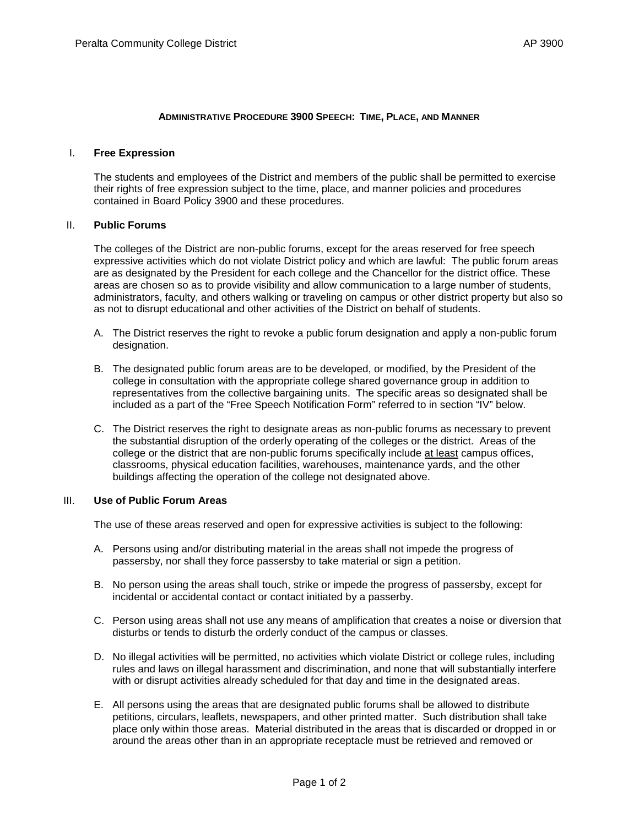#### **ADMINISTRATIVE PROCEDURE 3900 SPEECH: TIME, PLACE, AND MANNER**

#### I. **Free Expression**

The students and employees of the District and members of the public shall be permitted to exercise their rights of free expression subject to the time, place, and manner policies and procedures contained in Board Policy 3900 and these procedures.

## II. **Public Forums**

The colleges of the District are non-public forums, except for the areas reserved for free speech expressive activities which do not violate District policy and which are lawful: The public forum areas are as designated by the President for each college and the Chancellor for the district office. These areas are chosen so as to provide visibility and allow communication to a large number of students, administrators, faculty, and others walking or traveling on campus or other district property but also so as not to disrupt educational and other activities of the District on behalf of students.

- A. The District reserves the right to revoke a public forum designation and apply a non-public forum designation.
- B. The designated public forum areas are to be developed, or modified, by the President of the college in consultation with the appropriate college shared governance group in addition to representatives from the collective bargaining units. The specific areas so designated shall be included as a part of the "Free Speech Notification Form" referred to in section "IV" below.
- C. The District reserves the right to designate areas as non-public forums as necessary to prevent the substantial disruption of the orderly operating of the colleges or the district. Areas of the college or the district that are non-public forums specifically include at least campus offices, classrooms, physical education facilities, warehouses, maintenance yards, and the other buildings affecting the operation of the college not designated above.

## III. **Use of Public Forum Areas**

The use of these areas reserved and open for expressive activities is subject to the following:

- A. Persons using and/or distributing material in the areas shall not impede the progress of passersby, nor shall they force passersby to take material or sign a petition.
- B. No person using the areas shall touch, strike or impede the progress of passersby, except for incidental or accidental contact or contact initiated by a passerby.
- C. Person using areas shall not use any means of amplification that creates a noise or diversion that disturbs or tends to disturb the orderly conduct of the campus or classes.
- D. No illegal activities will be permitted, no activities which violate District or college rules, including rules and laws on illegal harassment and discrimination, and none that will substantially interfere with or disrupt activities already scheduled for that day and time in the designated areas.
- E. All persons using the areas that are designated public forums shall be allowed to distribute petitions, circulars, leaflets, newspapers, and other printed matter. Such distribution shall take place only within those areas. Material distributed in the areas that is discarded or dropped in or around the areas other than in an appropriate receptacle must be retrieved and removed or